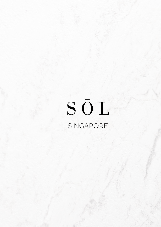# SŌL SINGAPORE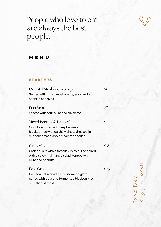

# People who love to eat are always the best people.

# **M E N U**

# **STAR TE R S**

| Oriental Mushroom Soup                                                                                                                                 | \$6  |
|--------------------------------------------------------------------------------------------------------------------------------------------------------|------|
| Served with mixed mushrooms, eggs and a<br>sprinkle of chives                                                                                          |      |
| Fish Broth                                                                                                                                             | \$7  |
| Served with sour plum and silken tofu                                                                                                                  |      |
| Mixed Berries & Kale (V)<br>Crisp kale mixed with raspberries and<br>blackberries with earthy walnuts dressed in<br>our housemade apple cinammon sauce | \$12 |
| Crab Miso<br>Crab chunks with a tomalley miso puree paired<br>with a spicy thai mango salad, topped with<br>ikura and peanuts                          | \$18 |
| Foie Gras<br>Pan-seared liver with a housemade glaze<br>paired with pear and fermented blueberry jus<br>on a slice of toast                            | \$23 |

### $\infty$  :  $Z$ eil R o  $\infty$  $\overline{\mathbf{C}}$  ( Sin  $\infty$  $\sigma$  $\mathbf{\Omega}$ ore $\bigcirc$  $\infty$  $\infty$  $\infty$  $\pm$

 $\overline{ }$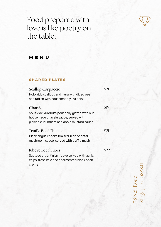# Food prepared with love is like poetry on the table.



# MENU

### **SHARED PLATES**

**Scallop Carpaccio** Hokkaido scallops and ikura with diced pear and radish with housemade yuzu ponzu

### Char Siu

\$19

\$21

Sous vide kurobuta pork belly glazed with our housemade char siu sauce, served with pickled cucumbers and apple mustard sauce

# **Truffle Beef Cheeks**

Black angus cheeks braised in an oriental mushroom sauce, served with truffle mash

# **Ribeye Beef Cubes**

\$22

 $$21$ 

Sauteed argentinian ribeye served with garlic chips, fresh kale and a fermented black bean creme

78 Neil Road<br>Singapore 088841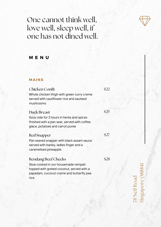# One cannot think well, love well, sleep well, if one has not dined well.



### **MAINS**

# Chicken Confit

Whole chicken thigh with green curry creme served with cauliflower rice and sauteed mushrooms

# Duck Breast

\$25

\$27

\$22

# Sous vide for 3 hours in herbs and spices finished with a pan sear, served with coffee glace, potatoes and carrot puree

# Red Snapper

Pan seared snapper with black assam sauce served with barley, ladies finger and a caramelized pineapple

# Rendang Beef Cheeks

\$28

Slow cooked in our housemade rempah topped with grated coconut, served with a papadam, coconut creme and butterfly pea rice

 $\overline{ }$  $\infty$  :  $Z$ eil R o  $\infty$  $\overline{\mathbf{C}}$  ( Sin  $\infty$  $\sigma$  $\mathbf{\Omega}$ ore $\bigcirc$  $\infty$  $\infty$  $\infty$  $\pm$ 

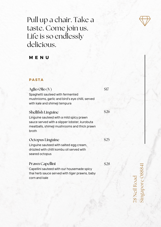

# Pull up a chair. Take a taste. Come join us. Life is so endlessly delicious.

# **M E N U**

## **PASTA**

# Aglio Olio (V)

Spaghetti sauteed with fermented mushrooms, garlic and bird's eye chilli, served with kale and shimeji tempura

# Shellfish Linguine

\$26

\$17

Linguine sauteed with a mild spicy prawn sauce served with a slipper lobster, kurobuta meatballs, shimeji mushrooms and thick prawn broth

### Octopus Linguine

Linguine sauteed with salted egg cream, drizzled with chilli kombu oil served with seared octopus

# Prawn Capellini

\$28

\$25

Capellini sauteed with our housemade spicy thai herb sauce served with tiger prawns, baby corn and kale

 $\overline{ }$  $\infty$  :  $Z$ eil R o  $\infty$  $\overline{\mathbf{C}}$  ( Sin  $\infty$  $\sigma$  $\mathbf{\Omega}$ ore $\bigcirc$  $\infty$  $\infty$  $\infty$  $\pm$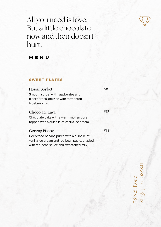

# All you need is love. But a little chocolate now and then doesn't hurt.

# **M E N U**

# **SWEET PLATES**

# House Sorbet

Smooth sorbet with raspberries and blackberries, drizzled with fermented blueberry jus

# Chocolate Lava

\$8

\$12

Chocolate cake with a warm molten core topped with a quinelle of vanilla ice cream

# Goreng Pisang

Deep fried banana puree with a quinelle of vanilla ice cream and red bean paste, drizzled with red bean sauce and sweetened milk

\$14

 $\infty$  :  $Z$ eil R o  $\infty$  $\overline{\mathbf{C}}$  ( Sin  $\infty$  $\sigma$  $\mathbf{\Omega}$ ore $\bigcirc$  $\infty$  $\infty$  $\infty$  $\pm$ 

 $\overline{ }$